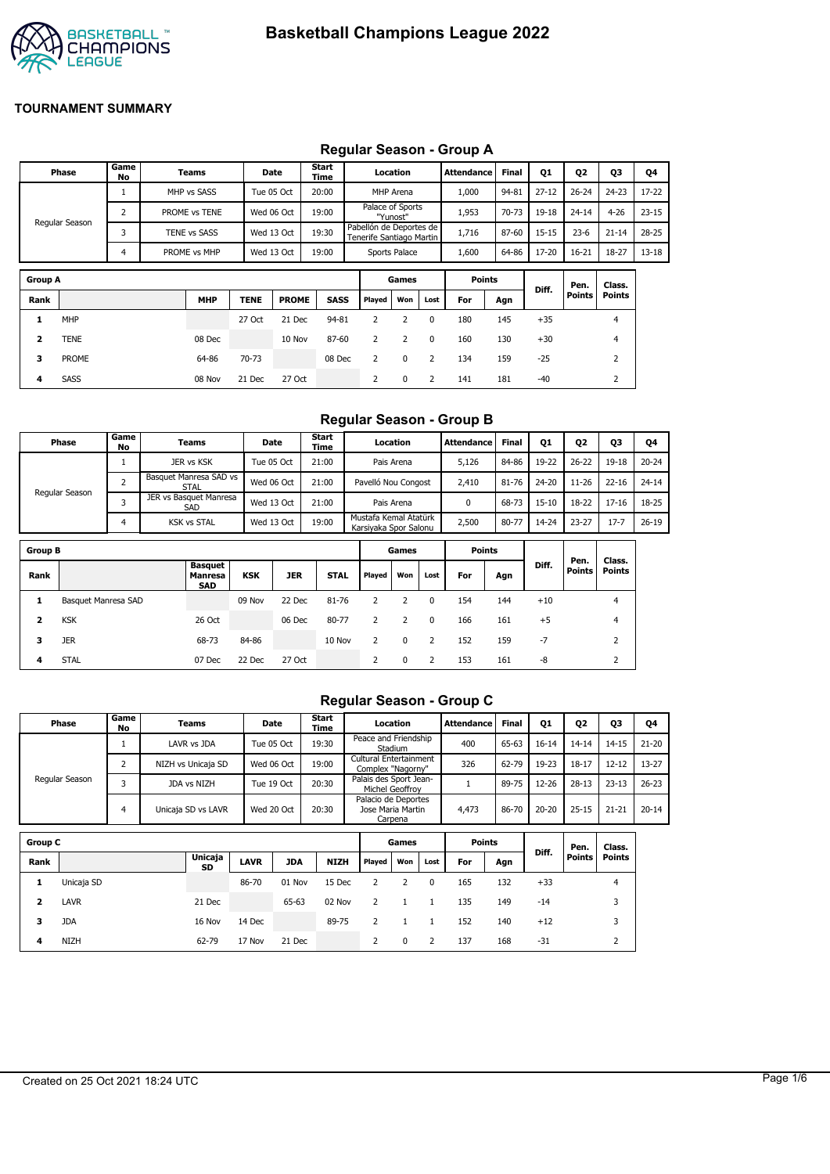

#### **Group A Games Points Diff. Pen. Points Class. Points Rank MHP TENE PROME SASS Played Won Lost For Agn 1** MHP 27 Oct 21 Dec 94-81 2 2 0 180 145 +35 4 **2** TENE 08 Dec 10 Nov 87-60 2 2 0 160 130 +30 4 **Phase Game No Teams Date Start Time Location Attendance Final Q1 Q2 Q3 Q4** Regular Season 1 MHP vs SASS Tue 05 Oct T 20:00 MHP Arena T 1,000 94-81 27-12 T 26-24 T 24-23 T 17-22 2 PROME vs TENE Wed 06 Oct 19:00 Palace of Sports "Yunost" Pabellón de Deportes de 1,953 70-73 19-18 24-14 4-26 23-15 3 TENE vs SASS Wed 13 Oct 19:30 Tenerife Santiago Martin 1,716 87-60 15-15 23-6 21-14 28-25 4 PROME vs MHP Wed 13 Oct 19:00 Sports Palace 1,600 64-86 17-20 16-21 18-27 13-18

**3** PROME 64-86 70-73 08 Dec 2 0 2 134 159 -25 2 **4** SASS 08 Nov 21 Dec 27 Oct 2 0 2 141 181 -40 2

# **Regular Season - Group A**

#### **Regular Season - Group B**

|                | Phase               | Game<br>No     | Teams                                   |            | Date       | <b>Start</b><br>Time |                | Location                                       |          | <b>Attendance</b> | <b>Final</b> | <b>Q1</b> | 02            | Q3            | Q4        |
|----------------|---------------------|----------------|-----------------------------------------|------------|------------|----------------------|----------------|------------------------------------------------|----------|-------------------|--------------|-----------|---------------|---------------|-----------|
|                |                     | 1              | JER vs KSK                              |            | Tue 05 Oct | 21:00                |                | Pais Arena                                     |          | 5,126             | 84-86        | 19-22     | $26 - 22$     | 19-18         | $20 - 24$ |
|                |                     | $\overline{2}$ | Basquet Manresa SAD vs<br><b>STAL</b>   |            | Wed 06 Oct | 21:00                |                | Pavelló Nou Congost                            |          | 2,410             | 81-76        | $24 - 20$ | $11 - 26$     | $22 - 16$     | $24 - 14$ |
|                | Regular Season      | 3              | JER vs Basquet Manresa<br>SAD           |            | Wed 13 Oct | 21:00                |                | Pais Arena                                     |          | 0                 | 68-73        | $15 - 10$ | 18-22         | $17 - 16$     | 18-25     |
|                |                     | 4              | <b>KSK vs STAL</b>                      |            | Wed 13 Oct | 19:00                |                | Mustafa Kemal Atatürk<br>Karsiyaka Spor Salonu |          | 2,500             | 80-77        | 14-24     | $23 - 27$     | $17 - 7$      | $26 - 19$ |
| <b>Group B</b> |                     |                |                                         |            |            |                      |                | Games                                          |          | <b>Points</b>     |              |           | Pen.          | Class.        |           |
| Rank           |                     |                | Basquet<br><b>Manresa</b><br><b>SAD</b> | <b>KSK</b> | <b>JER</b> | <b>STAL</b>          | Played         | Won                                            | Lost     | For               | Agn          | Diff.     | <b>Points</b> | <b>Points</b> |           |
| 1              | Basquet Manresa SAD |                |                                         | 09 Nov     | 22 Dec     | 81-76                | 2              | 2                                              | 0        | 154               | 144          | $+10$     |               | 4             |           |
| $\overline{2}$ | <b>KSK</b>          |                | 26 Oct                                  |            | 06 Dec     | 80-77                | $\overline{2}$ | $\overline{2}$                                 | $\Omega$ | 166               | 161          | $+5$      |               | 4             |           |
| 3              | <b>JER</b>          |                | 68-73                                   | 84-86      |            | 10 Nov               | 2              | $\Omega$                                       | 2        | 152               | 159          | $-7$      |               | 2             |           |
| 4              | <b>STAL</b>         |                | 07 Dec                                  | 22 Dec     | 27 Oct     |                      | 2              | $\Omega$                                       | 2        | 153               | 161          | $-8$      |               | 2             |           |

# **Regular Season - Group C**

|                         | Phase          | Game<br>No     | <b>Teams</b>       |             | <b>Date</b> | Start<br>Time |                                             | Location     |          | <b>Attendance</b> | <b>Final</b> | <b>Q1</b> | 02            | Q3             | Q4        |
|-------------------------|----------------|----------------|--------------------|-------------|-------------|---------------|---------------------------------------------|--------------|----------|-------------------|--------------|-----------|---------------|----------------|-----------|
|                         |                |                | LAVR vs JDA        |             | Tue 05 Oct  | 19:30         | Peace and Friendship                        | Stadium      |          | 400               | 65-63        | $16 - 14$ | $14 - 14$     | $14 - 15$      | $21 - 20$ |
|                         |                | 2              | NIZH vs Unicaja SD |             | Wed 06 Oct  | 19:00         | Cultural Entertainment<br>Complex "Nagorny" |              |          | 326               | 62-79        | 19-23     | $18 - 17$     | $12 - 12$      | $13 - 27$ |
|                         | Regular Season | 3              | JDA vs NIZH        |             | Tue 19 Oct  | 20:30         | Palais des Sport Jean-<br>Michel Geoffroy   |              |          | 1                 | 89-75        | 12-26     | $28 - 13$     | $23 - 13$      | $26 - 23$ |
|                         |                | $\overline{4}$ | Unicaja SD vs LAVR |             | Wed 20 Oct  | 20:30         | Palacio de Deportes<br>Jose Maria Martin    | Carpena      |          | 4,473             | 86-70        | $20 - 20$ | $25 - 15$     | $21 - 21$      | $20 - 14$ |
| <b>Group C</b>          |                |                |                    |             |             |               |                                             | Games        |          | <b>Points</b>     |              | Diff.     | Pen.          | Class.         |           |
| Rank                    |                |                | Unicaja<br>SD      | <b>LAVR</b> | <b>JDA</b>  | <b>NIZH</b>   | Played                                      | Won          | Lost     | For               | Agn          |           | <b>Points</b> | <b>Points</b>  |           |
| 1                       | Unicaja SD     |                |                    | 86-70       | 01 Nov      | 15 Dec        | 2                                           | 2            | $\Omega$ | 165               | 132          | $+33$     |               | $\overline{4}$ |           |
| $\overline{\mathbf{2}}$ | LAVR           |                | 21 Dec             |             | 65-63       | 02 Nov        | 2                                           | 1            | 1        | 135               | 149          | $-14$     |               | 3              |           |
| 3                       | <b>JDA</b>     |                | 16 Nov             | 14 Dec      |             | 89-75         | 2                                           | $\mathbf{1}$ |          | 152               | 140          | $+12$     |               | 3              |           |
| 4                       | NIZH           |                | 62-79              | 17 Nov      | 21 Dec      |               | 2                                           | 0            | 2        | 137               | 168          | $-31$     |               | 2              |           |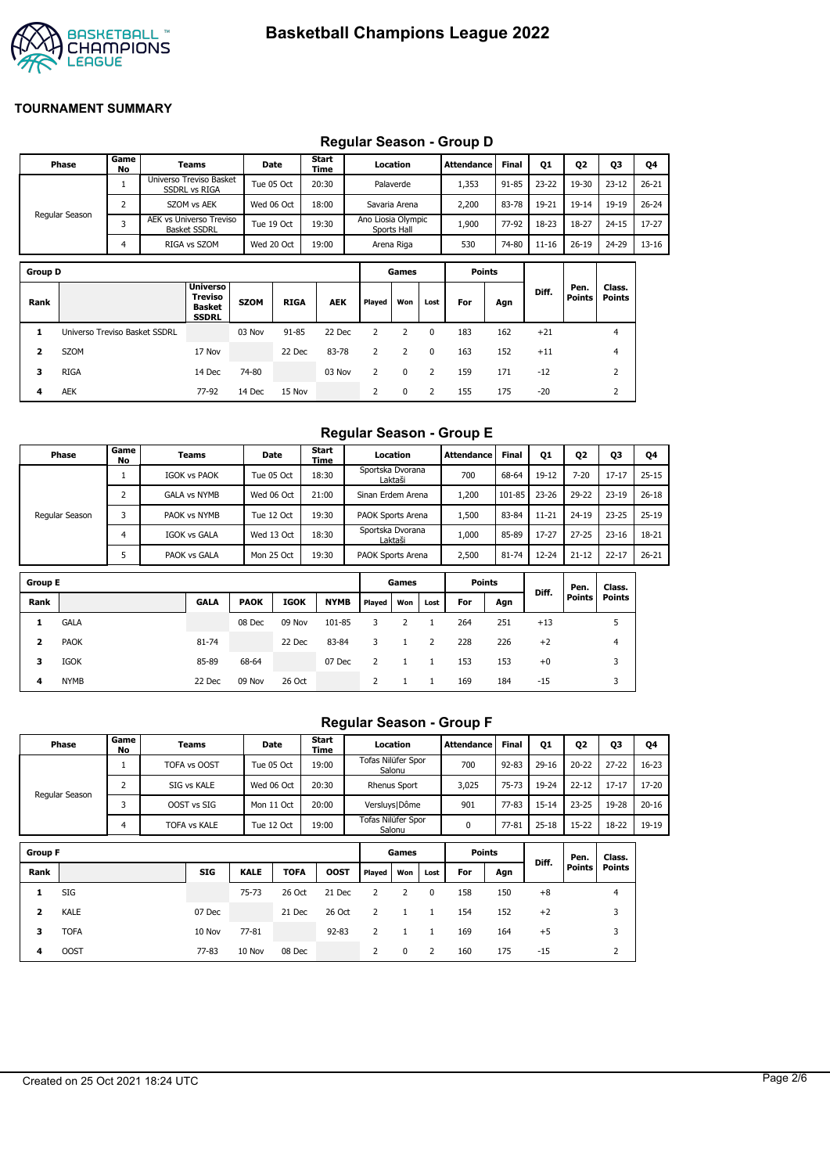

|                | <b>Regular Ocason - Oroup D</b> |                |  |                                                             |             |             |               |                    |               |          |                   |              |           |                       |                         |           |
|----------------|---------------------------------|----------------|--|-------------------------------------------------------------|-------------|-------------|---------------|--------------------|---------------|----------|-------------------|--------------|-----------|-----------------------|-------------------------|-----------|
|                | Phase                           | Game<br>No     |  | Teams                                                       |             | Date        | Start<br>Time |                    | Location      |          | <b>Attendance</b> | <b>Final</b> | 01        | 02                    | Q3                      | Q4        |
|                |                                 |                |  | Universo Treviso Basket<br><b>SSDRL vs RIGA</b>             |             | Tue 05 Oct  | 20:30         |                    | Palaverde     |          | 1,353             | $91 - 85$    | $23 - 22$ | 19-30                 | $23 - 12$               | $26 - 21$ |
|                |                                 | $\overline{2}$ |  | <b>SZOM vs AEK</b>                                          |             | Wed 06 Oct  | 18:00         |                    | Savaria Arena |          | 2,200             | 83-78        | 19-21     | $19 - 14$             | $19-19$                 | $26 - 24$ |
|                | Regular Season                  | 3              |  | AEK vs Universo Treviso<br><b>Basket SSDRL</b>              |             | Tue 19 Oct  | 19:30         | Ano Liosia Olympic | Sports Hall   |          | 1,900             | 77-92        | 18-23     | 18-27                 | $24 - 15$               | 17-27     |
|                |                                 | $\overline{4}$ |  | RIGA vs SZOM                                                |             | Wed 20 Oct  | 19:00         |                    | Arena Riga    |          | 530               | 74-80        | $11 - 16$ | $26 - 19$             | 24-29                   | 13-16     |
| <b>Group D</b> |                                 |                |  |                                                             |             |             |               |                    | Games         |          | <b>Points</b>     |              |           |                       |                         |           |
| Rank           |                                 |                |  | <b>Universo</b><br>Treviso<br><b>Basket</b><br><b>SSDRL</b> | <b>SZOM</b> | <b>RIGA</b> | <b>AEK</b>    | Played             | Won           | Lost     | For               | Agn          | Diff.     | Pen.<br><b>Points</b> | Class.<br><b>Points</b> |           |
| 1              | Universo Treviso Basket SSDRL   |                |  |                                                             | 03 Nov      | $91 - 85$   | 22 Dec        | 2                  | 2             | $\Omega$ | 183               | 162          | $+21$     |                       | 4                       |           |
| 2              | <b>SZOM</b>                     |                |  | 17 Nov                                                      |             | 22 Dec      | 83-78         | 2                  | 2             | 0        | 163               | 152          | $+11$     |                       | 4                       |           |

**3** RIGA 14 Dec 74-80 03 Nov 2 0 2 159 171 -12 2 **4** AEK 77-92 14 Dec 15 Nov 2 0 2 155 175 -20 2

### **Regular Season - Group D**

#### **Regular Season - Group E**

| <b>Phase</b>   | Game I<br>No | Teams               | Date       | <b>Start</b><br>Time | Location                    | Attendance | <b>Final</b> | Q1        | Q <sub>2</sub> | Q3        | Q4        |
|----------------|--------------|---------------------|------------|----------------------|-----------------------------|------------|--------------|-----------|----------------|-----------|-----------|
|                |              | <b>IGOK vs PAOK</b> | Tue 05 Oct | 18:30                | Sportska Dvorana<br>Laktaši | 700        | 68-64        | 19-12     | $7 - 20$       | $17 - 17$ | $25 - 15$ |
|                |              | <b>GALA vs NYMB</b> | Wed 06 Oct | 21:00                | Sinan Erdem Arena           | 1,200      | 101-85       | $23 - 26$ | $29 - 22$      | $23 - 19$ | $26 - 18$ |
| Regular Season |              | PAOK vs NYMB        | Tue 12 Oct | 19:30                | PAOK Sports Arena           | 1,500      | 83-84        | $11 - 21$ | $24 - 19$      | $23 - 25$ | $25 - 19$ |
|                |              | <b>IGOK vs GALA</b> | Wed 13 Oct | 18:30                | Sportska Dvorana<br>Laktaši | 1,000      | 85-89        | $17 - 27$ | $27 - 25$      | $23 - 16$ | 18-21     |
|                |              | PAOK vs GALA        | Mon 25 Oct | 19:30                | PAOK Sports Arena           | 2,500      | 81-74        | $12 - 24$ | $21 - 12$      | $22 - 17$ | $26 - 21$ |

| <b>Group E</b> |             |             |             |             |             |        | Games |      |     | <b>Points</b> |       | Pen.          | Class.        |
|----------------|-------------|-------------|-------------|-------------|-------------|--------|-------|------|-----|---------------|-------|---------------|---------------|
| Rank           |             | <b>GALA</b> | <b>PAOK</b> | <b>IGOK</b> | <b>NYMB</b> | Played | Won   | Lost | For | Agn           | Diff. | <b>Points</b> | <b>Points</b> |
|                | <b>GALA</b> |             | 08 Dec      | 09 Nov      | 101-85      | 3      |       |      | 264 | 251           | $+13$ |               |               |
| 2              | <b>PAOK</b> | 81-74       |             | 22 Dec      | 83-84       | 3      |       |      | 228 | 226           | $+2$  |               | 4             |
| з              | <b>IGOK</b> | 85-89       | 68-64       |             | 07 Dec      |        |       |      | 153 | 153           | $+0$  |               |               |
| 4              | <b>NYMB</b> | 22 Dec      | 09 Nov      | 26 Oct      |             |        |       |      | 169 | 184           | $-15$ |               |               |

# **Regular Season - Group F**

| Phase          | Game<br>No | Teams        | Date       | <b>Start</b><br>Time | Location                     | Attendance | <b>Final</b> | Q1        | Q <sub>2</sub> | Q3        | Q4        |
|----------------|------------|--------------|------------|----------------------|------------------------------|------------|--------------|-----------|----------------|-----------|-----------|
|                |            | TOFA vs OOST | Tue 05 Oct | 19:00                | Tofas Nilüfer Spor<br>Salonu | 700        | $92 - 83$    | $29 - 16$ | $20 - 22$      | $27 - 22$ | $16 - 23$ |
| Regular Season |            | SIG vs KALE  | Wed 06 Oct | 20:30                | <b>Rhenus Sport</b>          | 3,025      | $75 - 73$    | 19-24     | $22 - 12$      | $17 - 17$ | $17 - 20$ |
|                |            | OOST vs SIG  | Mon 11 Oct | 20:00                | Versluys   Dôme              | 901        | $77 - 83$    | $15 - 14$ | $23 - 25$      | 19-28     | $20 - 16$ |
|                | 4          | TOFA vs KALE | Tue 12 Oct | 19:00                | Tofas Nilüfer Spor<br>Salonu | 0          | 77-81        | $25 - 18$ | $15 - 22$      | 18-22     | 19-19     |
|                |            |              |            |                      |                              |            |              |           |                |           |           |

| <b>Group F</b> |             |           |             |        |             |        | Games        |      |     | <b>Points</b> |       | Pen.          | Class.        |
|----------------|-------------|-----------|-------------|--------|-------------|--------|--------------|------|-----|---------------|-------|---------------|---------------|
| Rank           |             | SIG       | <b>KALE</b> | TOFA   | <b>OOST</b> | Played | Won          | Lost | For | Agn           | Diff. | <b>Points</b> | <b>Points</b> |
|                | SIG         |           | 75-73       | 26 Oct | 21 Dec      |        |              | 0    | 158 | 150           | $+8$  |               | 4             |
| 2              | <b>KALE</b> | 07 Dec    |             | 21 Dec | 26 Oct      |        |              |      | 154 | 152           | $+2$  |               |               |
| з              | <b>TOFA</b> | 10 Nov    | $77 - 81$   |        | $92 - 83$   |        |              |      | 169 | 164           | $+5$  |               |               |
| 4              | <b>OOST</b> | $77 - 83$ | 10 Nov      | 08 Dec |             | 2      | <sup>0</sup> |      | 160 | 175           | $-15$ |               |               |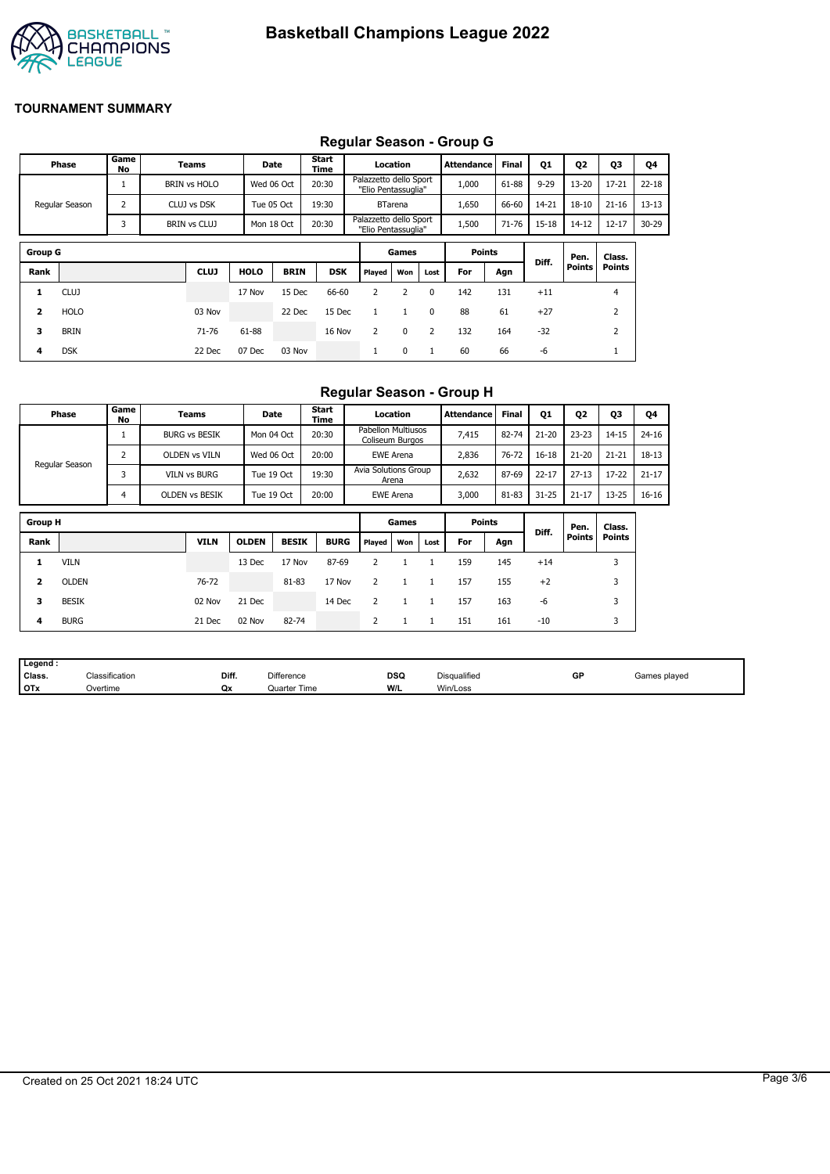

#### **Group G Games Points Diff. Pen. Points Class. Points Rank CLUJ HOLO BRIN DSK Played Won Lost For Agn 1** CLUJ 17 Nov 15 Dec 66-60 2 2 0 142 131 +11 4 **2** HOLO 03 Nov 22 Dec 15 Dec 1 1 0 88 61 +27 2 **3** BRIN 71-76 61-88 16 Nov 2 0 2 132 164 -32 2 **4** DSK 22 Dec 07 Dec 03 Nov 1 0 1 60 66 -6 1 **Phase Game No Teams Date Start Time Location Attendance Final Q1 Q2 Q3 Q4** Regular Season 1 BRIN vs HOLO Wed 06 Oct 20:30 Palazzetto dello Sport "Elio Pentassuglia" 1,000 61-88 9-29 13-20 17-21 22-18 2 CLUJ vs DSK Tue 05 Oct 1 19:30 Tue BTarena 1,650 1 66-60 1 14-21 18-10 1 21-16 1 13-13 3 BRIN vs CLUJ Mon 18 Oct 20:30 Palazzetto dello Sport "Elio Pentassuglia" 1,500 71-76 15-18 14-12 12-17 30-29

# **Regular Season - Group G**

# **Regular Season - Group H**

|                         | Phase          | Game<br>No     | Teams                 |              | Date         | Start<br>Time |                                              | Location         |              | <b>Attendance</b> | <b>Final</b> | Q1        | Q <sub>2</sub>        | Q3                      | Q4        |
|-------------------------|----------------|----------------|-----------------------|--------------|--------------|---------------|----------------------------------------------|------------------|--------------|-------------------|--------------|-----------|-----------------------|-------------------------|-----------|
|                         |                | T              | <b>BURG vs BESIK</b>  |              | Mon 04 Oct   | 20:30         | <b>Pabellon Multiusos</b><br>Coliseum Burgos |                  |              | 7,415             | 82-74        | $21 - 20$ | $23 - 23$             | $14 - 15$               | $24 - 16$ |
|                         | Regular Season | $\overline{2}$ | <b>OLDEN vs VILN</b>  |              | Wed 06 Oct   | 20:00         |                                              | <b>EWE Arena</b> |              | 2,836             | $76 - 72$    | $16 - 18$ | $21 - 20$             | $21 - 21$               | $18 - 13$ |
|                         |                | 3              | <b>VILN vs BURG</b>   |              | Tue 19 Oct   | 19:30         | Avia Solutions Group                         | Arena            |              | 2,632             | 87-69        | $22 - 17$ | $27 - 13$             | $17 - 22$               | $21 - 17$ |
|                         |                | 4              | <b>OLDEN VS BESIK</b> |              | Tue 19 Oct   | 20:00         |                                              | EWE Arena        |              | 3,000             | 81-83        | $31 - 25$ | $21 - 17$             | $13 - 25$               | $16 - 16$ |
| <b>Group H</b>          |                |                |                       |              |              |               |                                              | Games            |              | <b>Points</b>     |              |           |                       |                         |           |
|                         |                |                |                       |              |              |               |                                              |                  |              |                   |              | Diff.     | Pen.<br><b>Points</b> | Class.<br><b>Points</b> |           |
| Rank                    |                |                | <b>VILN</b>           | <b>OLDEN</b> | <b>BESIK</b> | <b>BURG</b>   | Played                                       | Won              | Lost         | For               | Agn          |           |                       |                         |           |
| 1                       | <b>VILN</b>    |                |                       | 13 Dec       | 17 Nov       | 87-69         | 2                                            |                  | 1            | 159               | 145          | $+14$     |                       | 3                       |           |
| $\overline{\mathbf{2}}$ | <b>OLDEN</b>   |                | 76-72                 |              | 81-83        | 17 Nov        | $\overline{2}$                               | $\mathbf{1}$     | $\mathbf{1}$ | 157               | 155          | $+2$      |                       | 3                       |           |
| 3                       | <b>BESIK</b>   |                | 02 Nov                | 21 Dec       |              | 14 Dec        | 2                                            | $\mathbf{1}$     | 1            | 157               | 163          | -6        |                       | 3                       |           |
| 4                       | <b>BURG</b>    |                | 21 Dec                | 02 Nov       | 82-74        |               | 2                                            | $\mathbf{1}$     | 1            | 151               | 161          | $-10$     |                       | 3                       |           |

| Legend     |                          |       |                   |            |              |    |              |
|------------|--------------------------|-------|-------------------|------------|--------------|----|--------------|
| Class.     | $\sim$<br>Classification | Diff. | <b>Difference</b> | <b>DSQ</b> | Disqualified | GF | Games played |
| <b>OTx</b> | Overtime                 | Qx    | Quarter Time      | W/L        | Win/Loss     |    |              |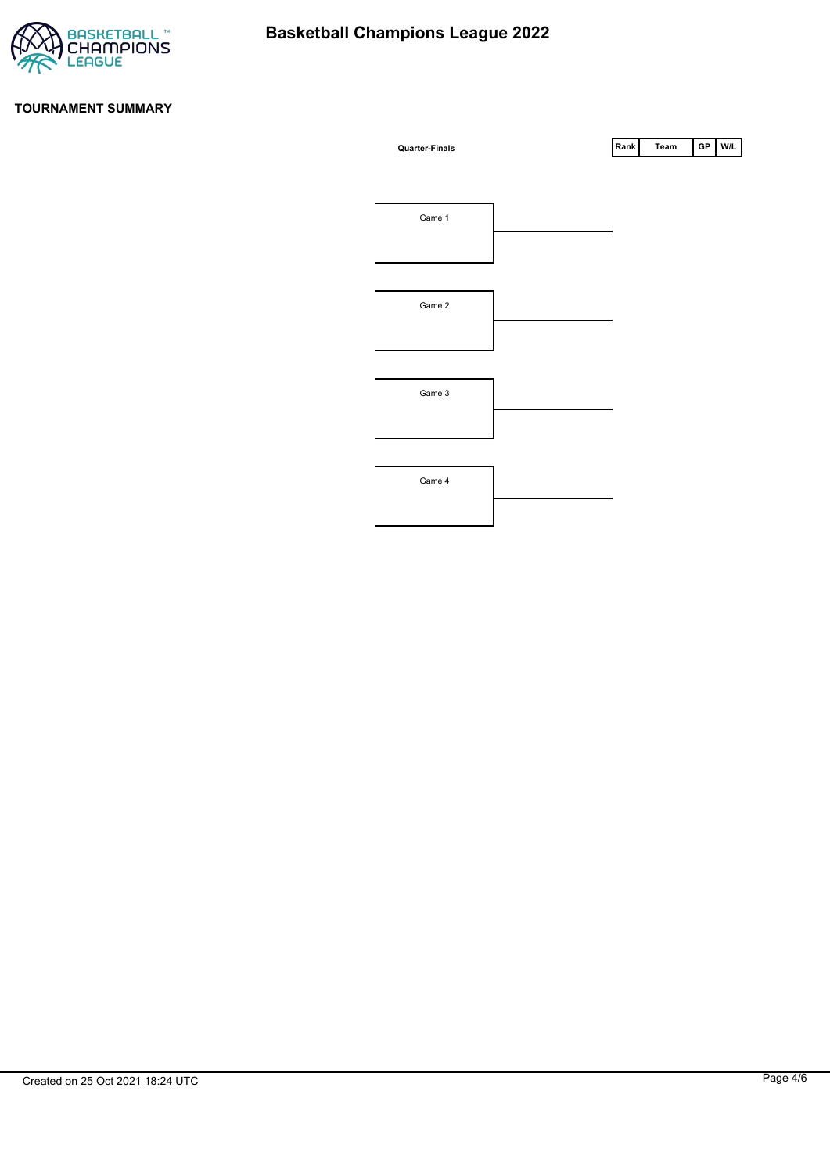

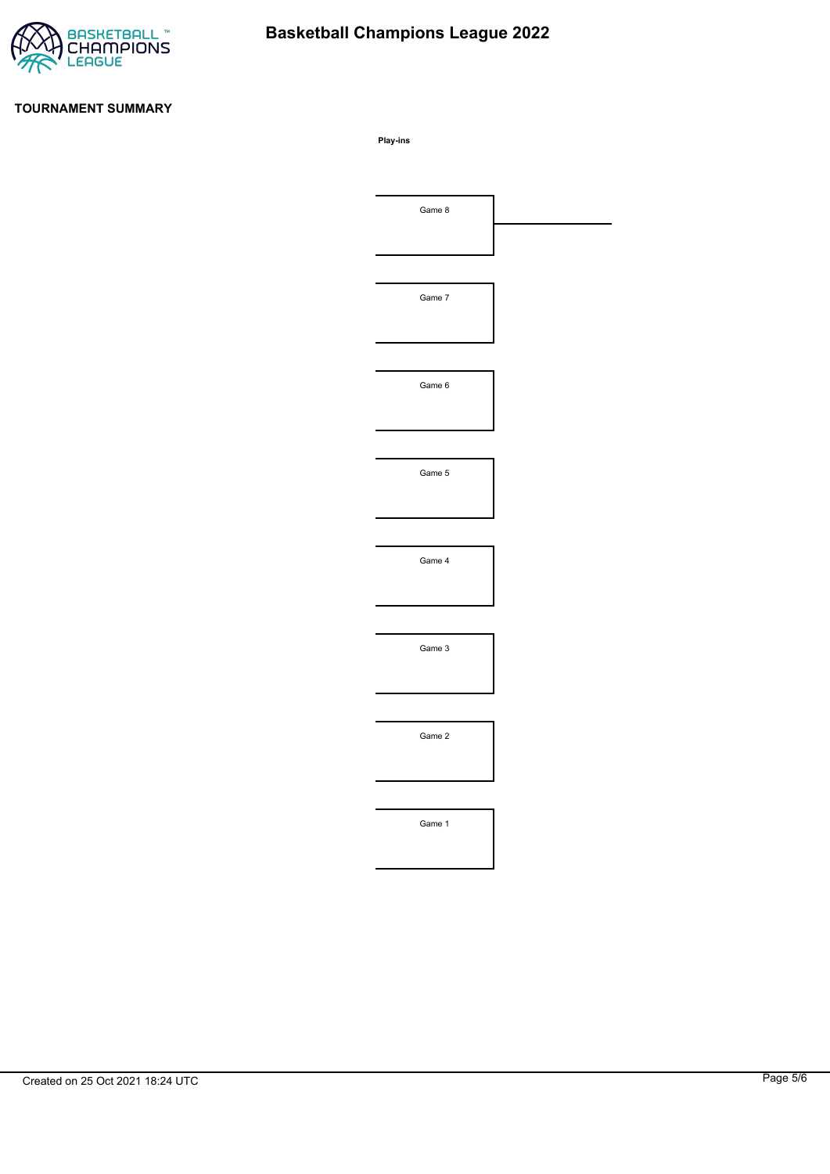

# **Basketball Champions League 2022**

# **TOURNAMENT SUMMARY**

**Play-ins**

| Game 8 |  |
|--------|--|
|        |  |
|        |  |
| Game 7 |  |
|        |  |
|        |  |
| Game 6 |  |
|        |  |
|        |  |
| Game 5 |  |
|        |  |
|        |  |
| Game 4 |  |
|        |  |
|        |  |
| Game 3 |  |
|        |  |
|        |  |
| Game 2 |  |
|        |  |
|        |  |
| Game 1 |  |
|        |  |
|        |  |
|        |  |